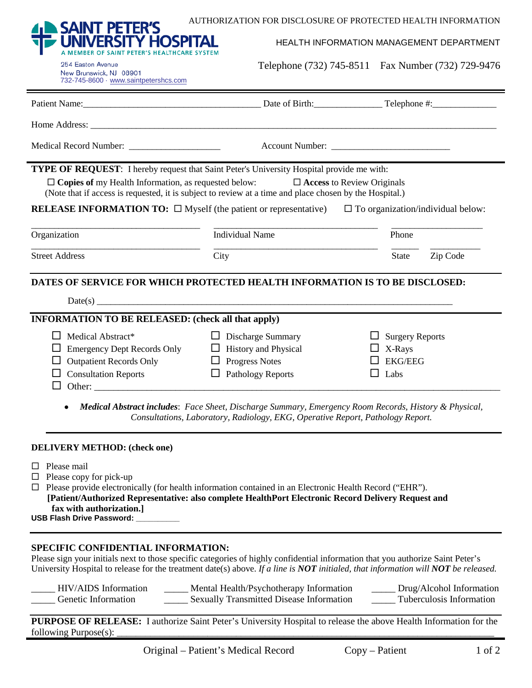

732-745-8600 · www.saintpetershcs.com

254 Easton Avenue New Brunswick, NJ 08901

## HEALTH INFORMATION MANAGEMENT DEPARTMENT

Telephone (732) 745-8511 Fax Number (732) 729-9476

| <b>TYPE OF REQUEST:</b> I hereby request that Saint Peter's University Hospital provide me with:<br>$\Box$ Copies of my Health Information, as requested below: $\Box$ Access to Review Originals<br>(Note that if access is requested, it is subject to review at a time and place chosen by the Hospital.)<br><b>RELEASE INFORMATION TO:</b> $\Box$ Myself (the patient or representative) $\Box$ To organization/individual below: |                                                                                                                                                                                         |                                                                   |  |  |  |  |
|---------------------------------------------------------------------------------------------------------------------------------------------------------------------------------------------------------------------------------------------------------------------------------------------------------------------------------------------------------------------------------------------------------------------------------------|-----------------------------------------------------------------------------------------------------------------------------------------------------------------------------------------|-------------------------------------------------------------------|--|--|--|--|
| Organization                                                                                                                                                                                                                                                                                                                                                                                                                          | <b>Individual Name</b>                                                                                                                                                                  | Phone                                                             |  |  |  |  |
| <b>Street Address</b>                                                                                                                                                                                                                                                                                                                                                                                                                 | City                                                                                                                                                                                    |                                                                   |  |  |  |  |
| <b>INFORMATION TO BE RELEASED:</b> (check all that apply)<br>$\Box$ Medical Abstract*<br><b>Emergency Dept Records Only</b><br>Outpatient Records Only $\Box$ Progress Notes<br><b>Consultation Reports</b>                                                                                                                                                                                                                           | $\Box$ Discharge Summary<br>$\Box$ History and Physical<br>$\Box$ Pathology Reports                                                                                                     | $\Box$ Surgery Reports<br>X-Rays<br><b>EKG/EEG</b><br>$\Box$ Labs |  |  |  |  |
| <b>DELIVERY METHOD: (check one)</b>                                                                                                                                                                                                                                                                                                                                                                                                   | Medical Abstract includes: Face Sheet, Discharge Summary, Emergency Room Records, History & Physical,<br>Consultations, Laboratory, Radiology, EKG, Operative Report, Pathology Report. |                                                                   |  |  |  |  |
| $\Box$ Please mail<br>$\Box$ Please copy for pick-up<br>$\Box$ Please provide electronically (for health information contained in an Electronic Health Record ("EHR").<br>[Patient/Authorized Representative: also complete HealthPort Electronic Record Delivery Request and<br>fax with authorization.]<br>USB Flash Drive Password: _________                                                                                      |                                                                                                                                                                                         |                                                                   |  |  |  |  |

## **SPECIFIC CONFIDENTIAL INFORMATION:**

Please sign your initials next to those specific categories of highly confidential information that you authorize Saint Peter's University Hospital to release for the treatment date(s) above. *If a line is NOT initialed, that information will NOT be released.*

| HIV/AIDS Information | Mental Health/Psychotherapy Information         | ____ Drug/Alcohol Information |
|----------------------|-------------------------------------------------|-------------------------------|
| Genetic Information  | <b>Sexually Transmitted Disease Information</b> | Tuberculosis Information      |

**PURPOSE OF RELEASE:** I authorize Saint Peter's University Hospital to release the above Health Information for the following Purpose(s):